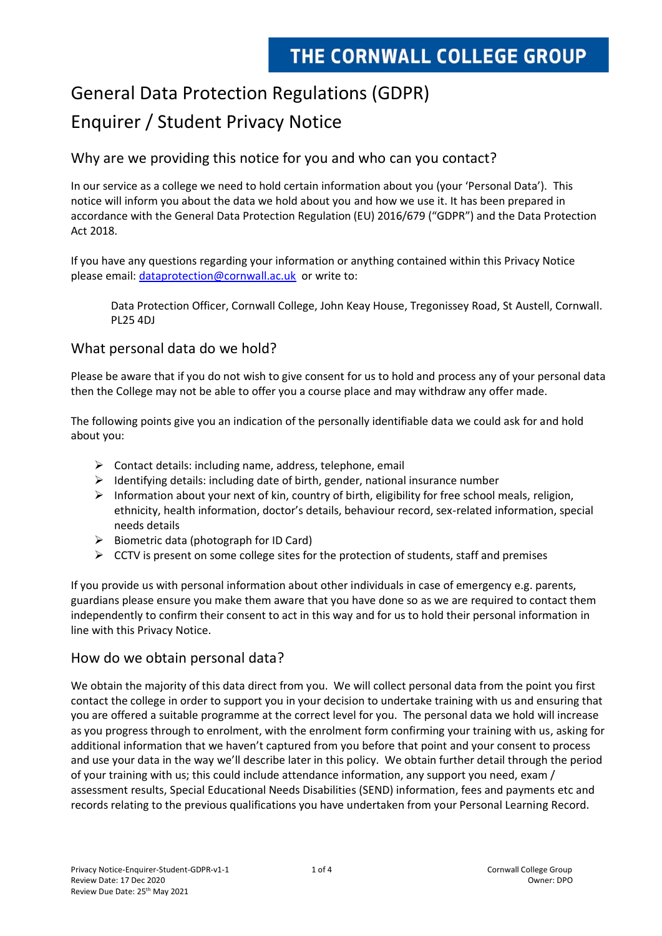# General Data Protection Regulations (GDPR) Enquirer / Student Privacy Notice

# Why are we providing this notice for you and who can you contact?

In our service as a college we need to hold certain information about you (your 'Personal Data'). This notice will inform you about the data we hold about you and how we use it. It has been prepared in accordance with the General Data Protection Regulation (EU) 2016/679 ("GDPR") and the Data Protection Act 2018.

If you have any questions regarding your information or anything contained within this Privacy Notice please email: [dataprotection@cornwall.ac.uk](mailto:dataprotection@cornwall.ac.uk) or write to:

Data Protection Officer, Cornwall College, John Keay House, Tregonissey Road, St Austell, Cornwall. PL25 4DJ

#### What personal data do we hold?

Please be aware that if you do not wish to give consent for us to hold and process any of your personal data then the College may not be able to offer you a course place and may withdraw any offer made.

The following points give you an indication of the personally identifiable data we could ask for and hold about you:

- $\triangleright$  Contact details: including name, address, telephone, email
- $\triangleright$  Identifying details: including date of birth, gender, national insurance number
- $\triangleright$  Information about your next of kin, country of birth, eligibility for free school meals, religion, ethnicity, health information, doctor's details, behaviour record, sex-related information, special needs details
- ➢ Biometric data (photograph for ID Card)
- $\triangleright$  CCTV is present on some college sites for the protection of students, staff and premises

If you provide us with personal information about other individuals in case of emergency e.g. parents, guardians please ensure you make them aware that you have done so as we are required to contact them independently to confirm their consent to act in this way and for us to hold their personal information in line with this Privacy Notice.

### How do we obtain personal data?

We obtain the majority of this data direct from you. We will collect personal data from the point you first contact the college in order to support you in your decision to undertake training with us and ensuring that you are offered a suitable programme at the correct level for you. The personal data we hold will increase as you progress through to enrolment, with the enrolment form confirming your training with us, asking for additional information that we haven't captured from you before that point and your consent to process and use your data in the way we'll describe later in this policy. We obtain further detail through the period of your training with us; this could include attendance information, any support you need, exam / assessment results, Special Educational Needs Disabilities (SEND) information, fees and payments etc and records relating to the previous qualifications you have undertaken from your Personal Learning Record.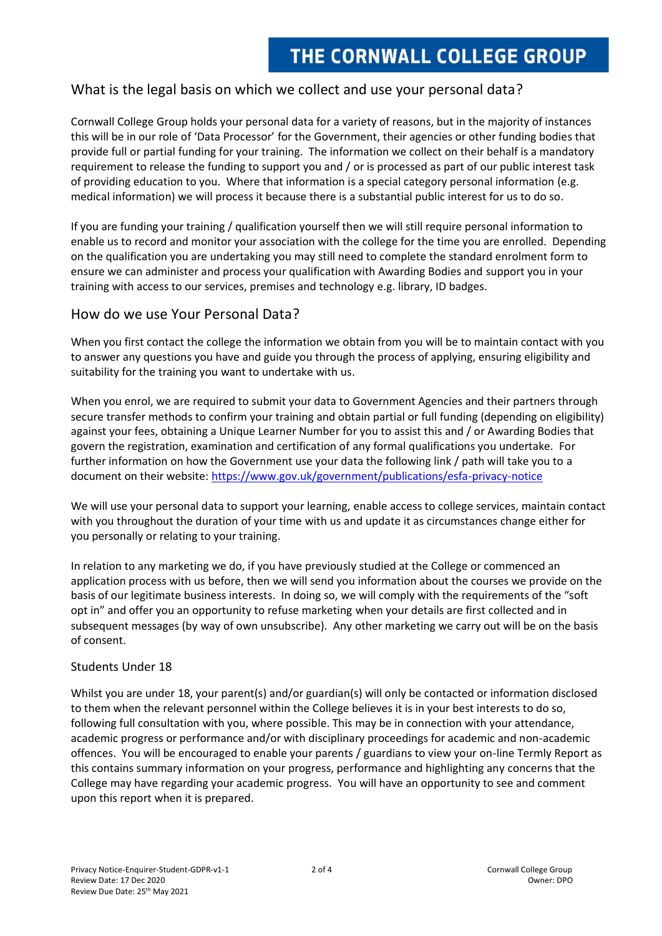# What is the legal basis on which we collect and use your personal data?

Cornwall College Group holds your personal data for a variety of reasons, but in the majority of instances this will be in our role of 'Data Processor' for the Government, their agencies or other funding bodies that provide full or partial funding for your training. The information we collect on their behalf is a mandatory requirement to release the funding to support you and / or is processed as part of our public interest task of providing education to you. Where that information is a special category personal information (e.g. medical information) we will process it because there is a substantial public interest for us to do so.

If you are funding your training / qualification yourself then we will still require personal information to enable us to record and monitor your association with the college for the time you are enrolled. Depending on the qualification you are undertaking you may still need to complete the standard enrolment form to ensure we can administer and process your qualification with Awarding Bodies and support you in your training with access to our services, premises and technology e.g. library, ID badges.

#### How do we use Your Personal Data?

When you first contact the college the information we obtain from you will be to maintain contact with you to answer any questions you have and guide you through the process of applying, ensuring eligibility and suitability for the training you want to undertake with us.

When you enrol, we are required to submit your data to Government Agencies and their partners through secure transfer methods to confirm your training and obtain partial or full funding (depending on eligibility) against your fees, obtaining a Unique Learner Number for you to assist this and / or Awarding Bodies that govern the registration, examination and certification of any formal qualifications you undertake. For further information on how the Government use your data the following link / path will take you to a document on their website:<https://www.gov.uk/government/publications/esfa-privacy-notice>

We will use your personal data to support your learning, enable access to college services, maintain contact with you throughout the duration of your time with us and update it as circumstances change either for you personally or relating to your training.

In relation to any marketing we do, if you have previously studied at the College or commenced an application process with us before, then we will send you information about the courses we provide on the basis of our legitimate business interests. In doing so, we will comply with the requirements of the "soft opt in" and offer you an opportunity to refuse marketing when your details are first collected and in subsequent messages (by way of own unsubscribe). Any other marketing we carry out will be on the basis of consent.

#### Students Under 18

Whilst you are under 18, your parent(s) and/or guardian(s) will only be contacted or information disclosed to them when the relevant personnel within the College believes it is in your best interests to do so, following full consultation with you, where possible. This may be in connection with your attendance, academic progress or performance and/or with disciplinary proceedings for academic and non-academic offences. You will be encouraged to enable your parents / guardians to view your on-line Termly Report as this contains summary information on your progress, performance and highlighting any concerns that the College may have regarding your academic progress. You will have an opportunity to see and comment upon this report when it is prepared.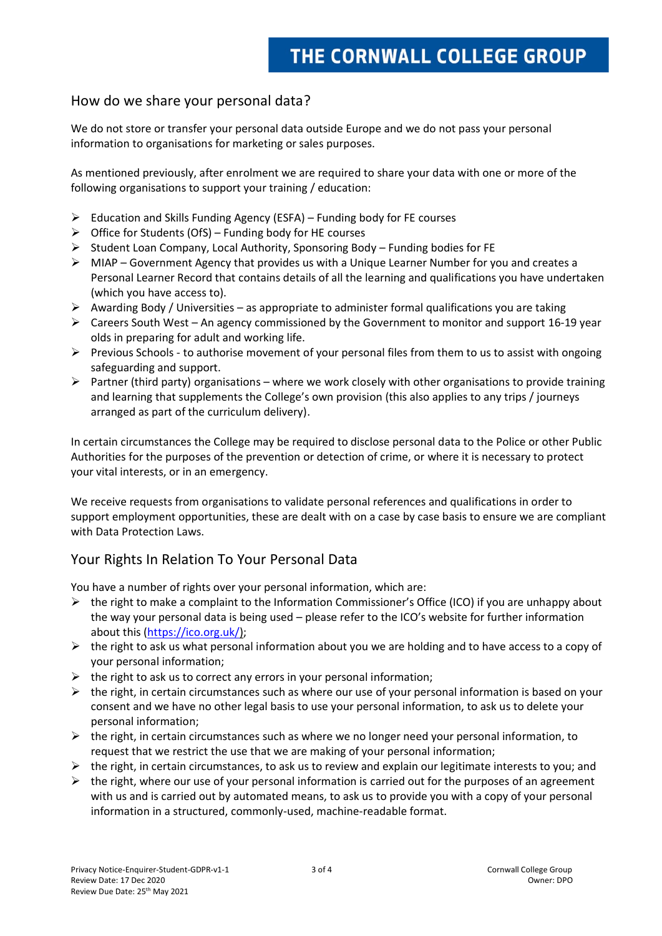#### How do we share your personal data?

We do not store or transfer your personal data outside Europe and we do not pass your personal information to organisations for marketing or sales purposes.

As mentioned previously, after enrolment we are required to share your data with one or more of the following organisations to support your training / education:

- $\triangleright$  Education and Skills Funding Agency (ESFA) Funding body for FE courses
- ➢ Office for Students (OfS) Funding body for HE courses
- $\triangleright$  Student Loan Company, Local Authority, Sponsoring Body Funding bodies for FE
- $\triangleright$  MIAP Government Agency that provides us with a Unique Learner Number for you and creates a Personal Learner Record that contains details of all the learning and qualifications you have undertaken (which you have access to).
- $\triangleright$  Awarding Body / Universities as appropriate to administer formal qualifications you are taking
- $\triangleright$  Careers South West An agency commissioned by the Government to monitor and support 16-19 year olds in preparing for adult and working life.
- ➢ Previous Schools to authorise movement of your personal files from them to us to assist with ongoing safeguarding and support.
- ➢ Partner (third party) organisations where we work closely with other organisations to provide training and learning that supplements the College's own provision (this also applies to any trips / journeys arranged as part of the curriculum delivery).

In certain circumstances the College may be required to disclose personal data to the Police or other Public Authorities for the purposes of the prevention or detection of crime, or where it is necessary to protect your vital interests, or in an emergency.

We receive requests from organisations to validate personal references and qualifications in order to support employment opportunities, these are dealt with on a case by case basis to ensure we are compliant with Data Protection Laws.

# Your Rights In Relation To Your Personal Data

You have a number of rights over your personal information, which are:

- $\triangleright$  the right to make a complaint to the Information Commissioner's Office (ICO) if you are unhappy about the way your personal data is being used – please refer to the ICO's website for further information about this [\(https://ico.org.uk/\)](https://ico.org.uk/);
- $\triangleright$  the right to ask us what personal information about you we are holding and to have access to a copy of your personal information;
- $\triangleright$  the right to ask us to correct any errors in your personal information;
- $\triangleright$  the right, in certain circumstances such as where our use of your personal information is based on your consent and we have no other legal basis to use your personal information, to ask us to delete your personal information;
- $\triangleright$  the right, in certain circumstances such as where we no longer need your personal information, to request that we restrict the use that we are making of your personal information;
- $\triangleright$  the right, in certain circumstances, to ask us to review and explain our legitimate interests to you; and
- $\triangleright$  the right, where our use of your personal information is carried out for the purposes of an agreement with us and is carried out by automated means, to ask us to provide you with a copy of your personal information in a structured, commonly-used, machine-readable format.